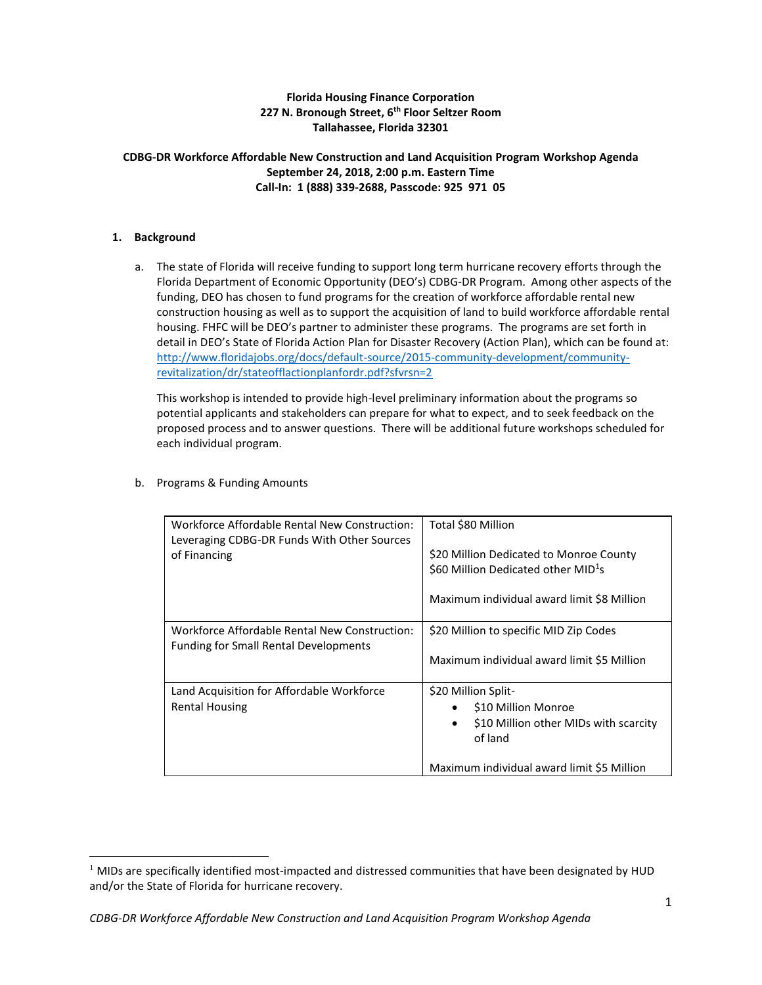# **Florida Housing Finance Corporation 227 N. Bronough Street, 6th Floor Seltzer Room Tallahassee, Florida 32301**

## **CDBG-DR Workforce Affordable New Construction and Land Acquisition Program Workshop Agenda September 24, 2018, 2:00 p.m. Eastern Time Call-In: 1 (888) 339-2688, Passcode: 925 971 05**

## **1. Background**

 $\overline{a}$ 

a. The state of Florida will receive funding to support long term hurricane recovery efforts through the Florida Department of Economic Opportunity (DEO's) CDBG-DR Program. Among other aspects of the funding, DEO has chosen to fund programs for the creation of workforce affordable rental new construction housing as well as to support the acquisition of land to build workforce affordable rental housing. FHFC will be DEO's partner to administer these programs. The programs are set forth in detail in DEO's State of Florida Action Plan for Disaster Recovery (Action Plan), which can be found at: [http://www.floridajobs.org/docs/default-source/2015-community-development/community](http://www.floridajobs.org/docs/default-source/2015-community-development/community-revitalization/dr/stateofflactionplanfordr.pdf?sfvrsn=2)[revitalization/dr/stateofflactionplanfordr.pdf?sfvrsn=2](http://www.floridajobs.org/docs/default-source/2015-community-development/community-revitalization/dr/stateofflactionplanfordr.pdf?sfvrsn=2)

This workshop is intended to provide high-level preliminary information about the programs so potential applicants and stakeholders can prepare for what to expect, and to seek feedback on the proposed process and to answer questions. There will be additional future workshops scheduled for each individual program.

| Workforce Affordable Rental New Construction:<br>Leveraging CDBG-DR Funds With Other Sources<br>of Financing | Total \$80 Million<br>\$20 Million Dedicated to Monroe County<br>$$60$ Million Dedicated other MID <sup>1</sup> s<br>Maximum individual award limit \$8 Million |  |
|--------------------------------------------------------------------------------------------------------------|-----------------------------------------------------------------------------------------------------------------------------------------------------------------|--|
| Workforce Affordable Rental New Construction:<br><b>Funding for Small Rental Developments</b>                | \$20 Million to specific MID Zip Codes<br>Maximum individual award limit \$5 Million                                                                            |  |
| Land Acquisition for Affordable Workforce<br><b>Rental Housing</b>                                           | \$20 Million Split-<br>\$10 Million Monroe<br>\$10 Million other MIDs with scarcity<br>$\bullet$<br>of land<br>Maximum individual award limit \$5 Million       |  |

b. Programs & Funding Amounts

 $1$  MIDs are specifically identified most-impacted and distressed communities that have been designated by HUD and/or the State of Florida for hurricane recovery.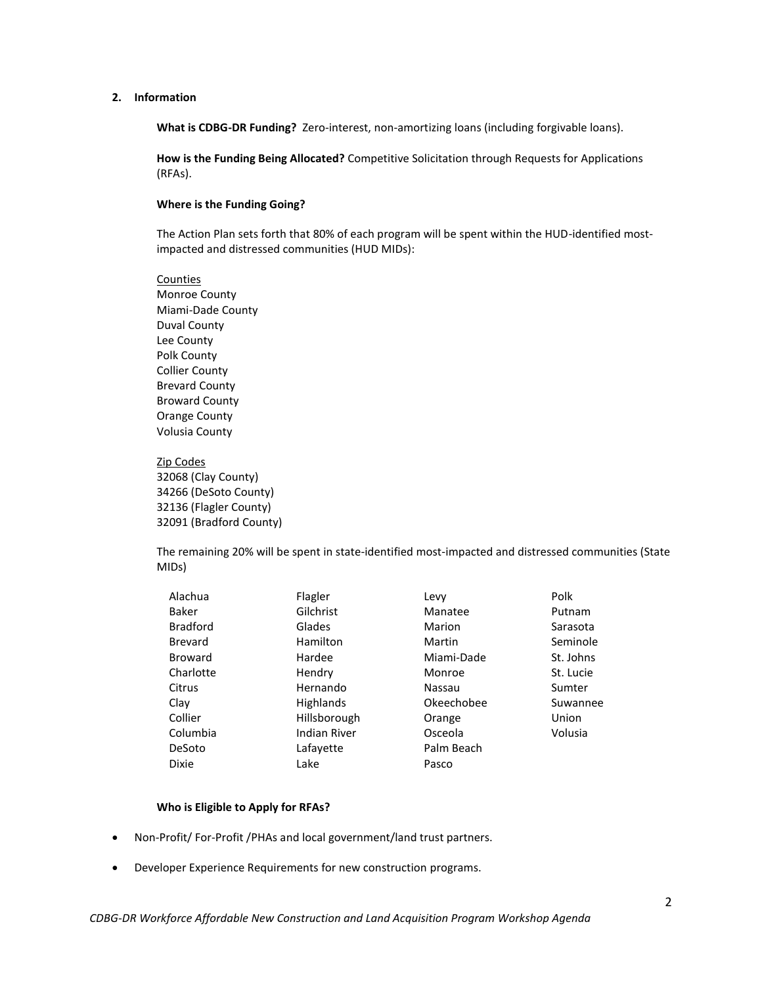#### **2. Information**

**What is CDBG-DR Funding?** Zero-interest, non-amortizing loans (including forgivable loans).

**How is the Funding Being Allocated?** Competitive Solicitation through Requests for Applications (RFAs).

### **Where is the Funding Going?**

The Action Plan sets forth that 80% of each program will be spent within the HUD-identified mostimpacted and distressed communities (HUD MIDs):

Counties Monroe County Miami-Dade County Duval County Lee County Polk County Collier County Brevard County Broward County Orange County Volusia County

Zip Codes 32068 (Clay County) 34266 (DeSoto County) 32136 (Flagler County) 32091 (Bradford County)

The remaining 20% will be spent in state-identified most-impacted and distressed communities (State MIDs)

|                     |            | Polk      |
|---------------------|------------|-----------|
| Gilchrist           | Manatee    | Putnam    |
| Glades              | Marion     | Sarasota  |
| Hamilton            | Martin     | Seminole  |
| Hardee              | Miami-Dade | St. Johns |
| Hendry              | Monroe     | St. Lucie |
| Hernando            | Nassau     | Sumter    |
| <b>Highlands</b>    | Okeechobee | Suwannee  |
| Hillsborough        | Orange     | Union     |
| <b>Indian River</b> | Osceola    | Volusia   |
| Lafayette           | Palm Beach |           |
| Lake                | Pasco      |           |
|                     | Flagler    | Levy      |

#### **Who is Eligible to Apply for RFAs?**

- Non-Profit/ For-Profit /PHAs and local government/land trust partners.
- Developer Experience Requirements for new construction programs.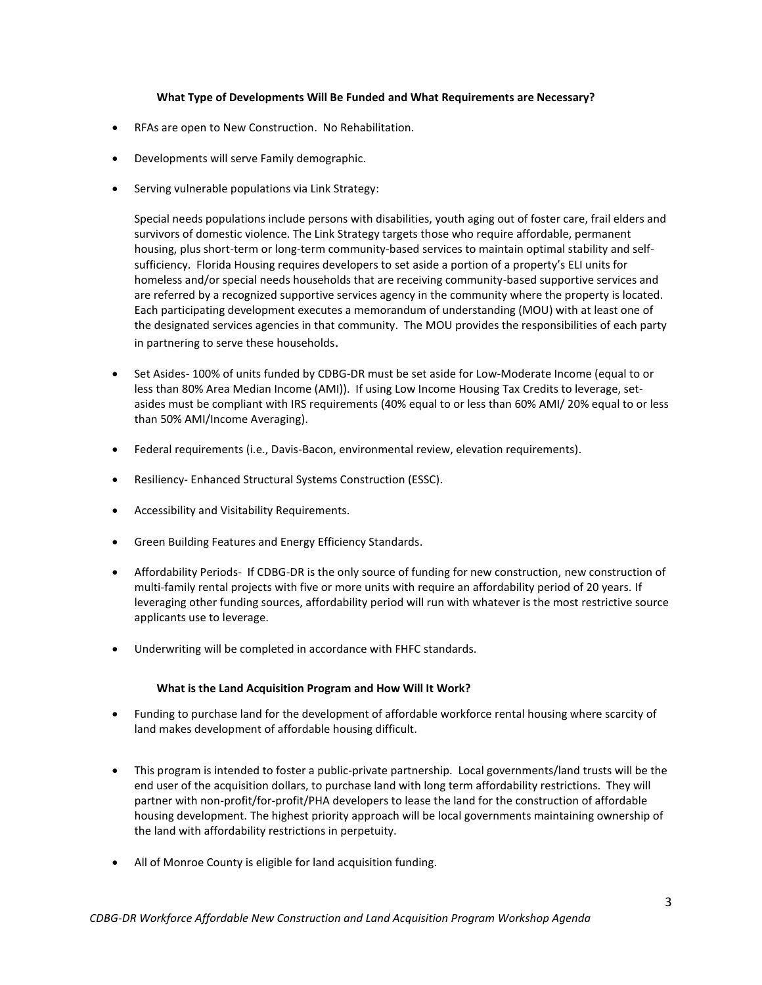### **What Type of Developments Will Be Funded and What Requirements are Necessary?**

- RFAs are open to New Construction. No Rehabilitation.
- Developments will serve Family demographic.
- Serving vulnerable populations via Link Strategy:

Special needs populations include persons with disabilities, youth aging out of foster care, frail elders and survivors of domestic violence. The Link Strategy targets those who require affordable, permanent housing, plus short-term or long-term community-based services to maintain optimal stability and selfsufficiency. Florida Housing requires developers to set aside a portion of a property's ELI units for homeless and/or special needs households that are receiving community-based supportive services and are referred by a recognized supportive services agency in the community where the property is located. Each participating development executes a memorandum of understanding (MOU) with at least one of the designated services agencies in that community. The MOU provides the responsibilities of each party in partnering to serve these households.

- Set Asides- 100% of units funded by CDBG-DR must be set aside for Low-Moderate Income (equal to or less than 80% Area Median Income (AMI)). If using Low Income Housing Tax Credits to leverage, setasides must be compliant with IRS requirements (40% equal to or less than 60% AMI/ 20% equal to or less than 50% AMI/Income Averaging).
- Federal requirements (i.e., Davis-Bacon, environmental review, elevation requirements).
- Resiliency- Enhanced Structural Systems Construction (ESSC).
- Accessibility and Visitability Requirements.
- Green Building Features and Energy Efficiency Standards.
- Affordability Periods- If CDBG-DR is the only source of funding for new construction, new construction of multi-family rental projects with five or more units with require an affordability period of 20 years. If leveraging other funding sources, affordability period will run with whatever is the most restrictive source applicants use to leverage.
- Underwriting will be completed in accordance with FHFC standards.

#### **What is the Land Acquisition Program and How Will It Work?**

- Funding to purchase land for the development of affordable workforce rental housing where scarcity of land makes development of affordable housing difficult.
- This program is intended to foster a public-private partnership. Local governments/land trusts will be the end user of the acquisition dollars, to purchase land with long term affordability restrictions. They will partner with non-profit/for-profit/PHA developers to lease the land for the construction of affordable housing development. The highest priority approach will be local governments maintaining ownership of the land with affordability restrictions in perpetuity.
- All of Monroe County is eligible for land acquisition funding.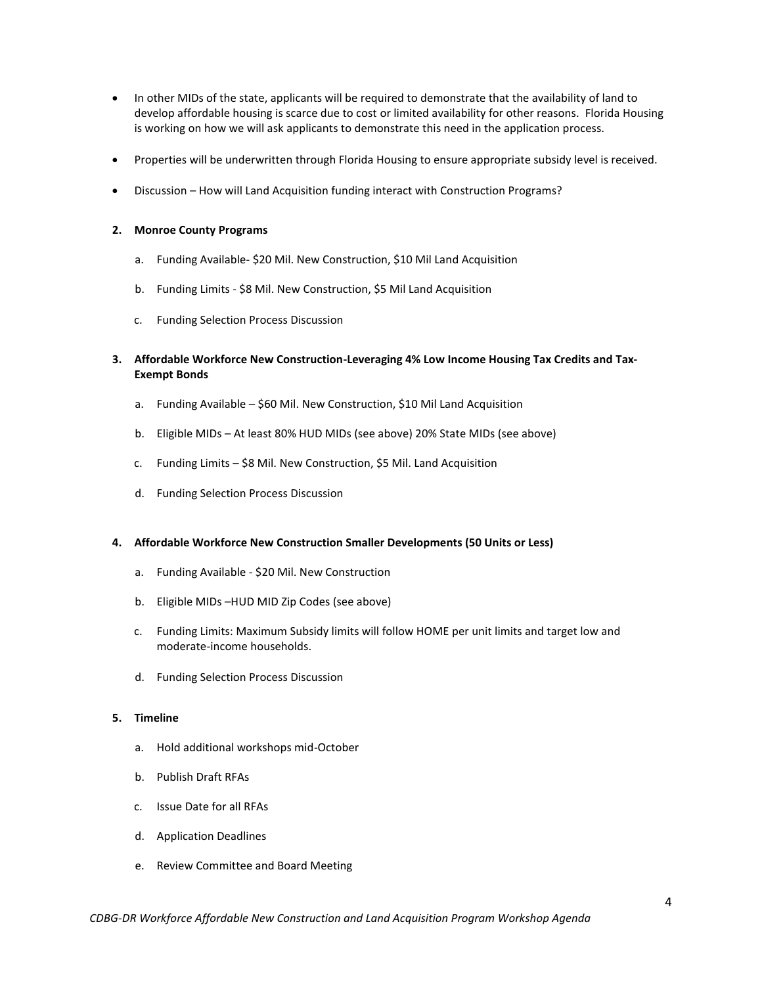- In other MIDs of the state, applicants will be required to demonstrate that the availability of land to develop affordable housing is scarce due to cost or limited availability for other reasons. Florida Housing is working on how we will ask applicants to demonstrate this need in the application process.
- Properties will be underwritten through Florida Housing to ensure appropriate subsidy level is received.
- Discussion How will Land Acquisition funding interact with Construction Programs?

#### **2. Monroe County Programs**

- a. Funding Available- \$20 Mil. New Construction, \$10 Mil Land Acquisition
- b. Funding Limits \$8 Mil. New Construction, \$5 Mil Land Acquisition
- c. Funding Selection Process Discussion
- **3. Affordable Workforce New Construction-Leveraging 4% Low Income Housing Tax Credits and Tax-Exempt Bonds**
	- a. Funding Available \$60 Mil. New Construction, \$10 Mil Land Acquisition
	- b. Eligible MIDs At least 80% HUD MIDs (see above) 20% State MIDs (see above)
	- c. Funding Limits \$8 Mil. New Construction, \$5 Mil. Land Acquisition
	- d. Funding Selection Process Discussion

#### **4. Affordable Workforce New Construction Smaller Developments (50 Units or Less)**

- a. Funding Available \$20 Mil. New Construction
- b. Eligible MIDs –HUD MID Zip Codes (see above)
- c. Funding Limits: Maximum Subsidy limits will follow HOME per unit limits and target low and moderate-income households.
- d. Funding Selection Process Discussion

# **5. Timeline**

- a. Hold additional workshops mid-October
- b. Publish Draft RFAs
- c. Issue Date for all RFAs
- d. Application Deadlines
- e. Review Committee and Board Meeting